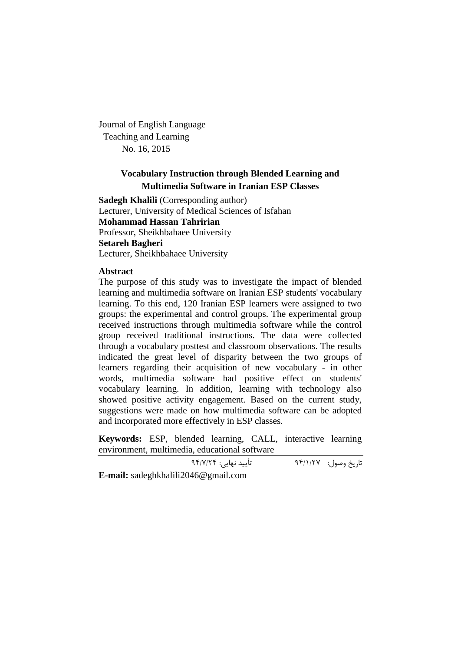Journal of English Language Teaching and Learning No. 16, 2015

# **Vocabulary Instruction through Blended Learning and Multimedia Software in Iranian ESP Classes**

**Sadegh Khalili** (Corresponding author) Lecturer, University of Medical Sciences of Isfahan **Mohammad Hassan Tahririan** Professor, Sheikhbahaee University **Setareh Bagheri** Lecturer, Sheikhbahaee University

# **Abstract**

The purpose of this study was to investigate the impact of blended learning and multimedia software on Iranian ESP students' vocabulary learning. To this end, 120 Iranian ESP learners were assigned to two groups: the experimental and control groups. The experimental group received instructions through multimedia software while the control group received traditional instructions. The data were collected through a vocabulary posttest and classroom observations. The results indicated the great level of disparity between the two groups of learners regarding their acquisition of new vocabulary - in other words, multimedia software had positive effect on students' vocabulary learning. In addition, learning with technology also showed positive activity engagement. Based on the current study, suggestions were made on how multimedia software can be adopted and incorporated more effectively in ESP classes.

**Keywords:** ESP, blended learning, CALL, interactive learning environment, multimedia, educational software

تاریخ وصول: 94/1/27 تأیید نهایی: 94/7/24

**E-mail:** sadeghkhalili2046@gmail.com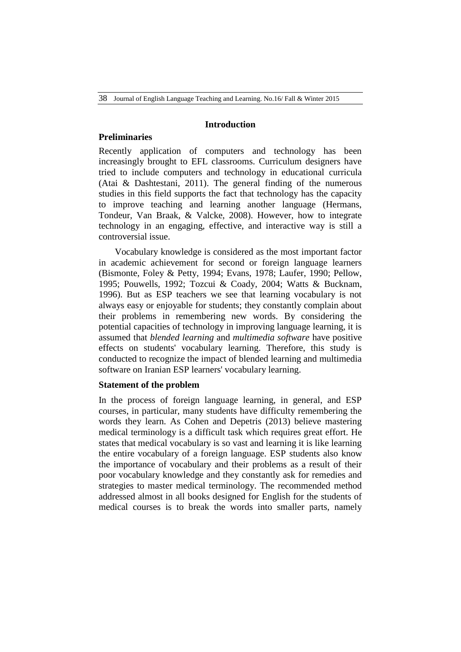## **Introduction**

# **Preliminaries**

Recently application of computers and technology has been increasingly brought to EFL classrooms. Curriculum designers have tried to include computers and technology in educational curricula (Atai & Dashtestani, 2011). The general finding of the numerous studies in this field supports the fact that technology has the capacity to improve teaching and learning another language (Hermans, Tondeur, Van Braak, & Valcke, 2008). However, how to integrate technology in an engaging, effective, and interactive way is still a controversial issue.

Vocabulary knowledge is considered as the most important factor in academic achievement for second or foreign language learners (Bismonte, Foley & Petty, 1994; Evans, 1978; Laufer, 1990; Pellow, 1995; Pouwells, 1992; Tozcui & Coady, 2004; Watts & Bucknam, 1996). But as ESP teachers we see that learning vocabulary is not always easy or enjoyable for students; they constantly complain about their problems in remembering new words. By considering the potential capacities of technology in improving language learning, it is assumed that *blended learning* and *multimedia software* have positive effects on students' vocabulary learning. Therefore, this study is conducted to recognize the impact of blended learning and multimedia software on Iranian ESP learners' vocabulary learning.

# **Statement of the problem**

In the process of foreign language learning, in general, and ESP courses, in particular, many students have difficulty remembering the words they learn. As Cohen and Depetris (2013) believe mastering medical terminology is a difficult task which requires great effort. He states that medical vocabulary is so vast and learning it is like learning the entire vocabulary of a foreign language. ESP students also know the importance of vocabulary and their problems as a result of their poor vocabulary knowledge and they constantly ask for remedies and strategies to master medical terminology. The recommended method addressed almost in all books designed for English for the students of medical courses is to break the words into smaller parts, namely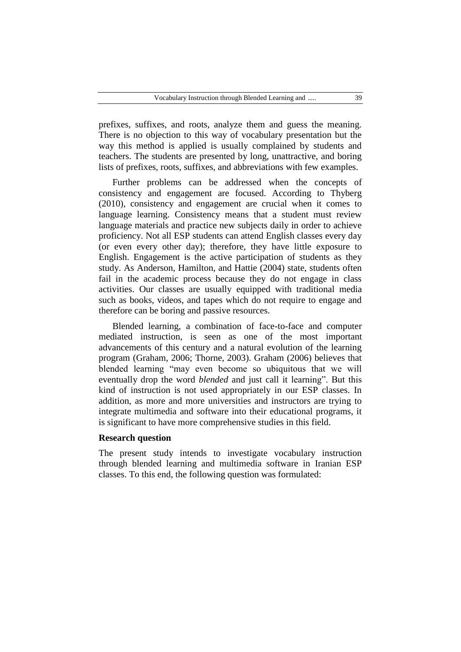prefixes, suffixes, and roots, analyze them and guess the meaning. There is no objection to this way of vocabulary presentation but the way this method is applied is usually complained by students and teachers. The students are presented by long, unattractive, and boring lists of prefixes, roots, suffixes, and abbreviations with few examples.

Further problems can be addressed when the concepts of consistency and engagement are focused. According to Thyberg (2010), consistency and engagement are crucial when it comes to language learning. Consistency means that a student must review language materials and practice new subjects daily in order to achieve proficiency. Not all ESP students can attend English classes every day (or even every other day); therefore, they have little exposure to English. Engagement is the active participation of students as they study. As Anderson, Hamilton, and Hattie (2004) state, students often fail in the academic process because they do not engage in class activities. Our classes are usually equipped with traditional media such as books, videos, and tapes which do not require to engage and therefore can be boring and passive resources.

Blended learning, a combination of face-to-face and computer mediated instruction, is seen as one of the most important advancements of this century and a natural evolution of the learning program (Graham, 2006; Thorne, 2003). Graham (2006) believes that blended learning "may even become so ubiquitous that we will eventually drop the word *blended* and just call it learning". But this kind of instruction is not used appropriately in our ESP classes. In addition, as more and more universities and instructors are trying to integrate multimedia and software into their educational programs, it is significant to have more comprehensive studies in this field.

# **Research question**

The present study intends to investigate vocabulary instruction through blended learning and multimedia software in Iranian ESP classes. To this end, the following question was formulated: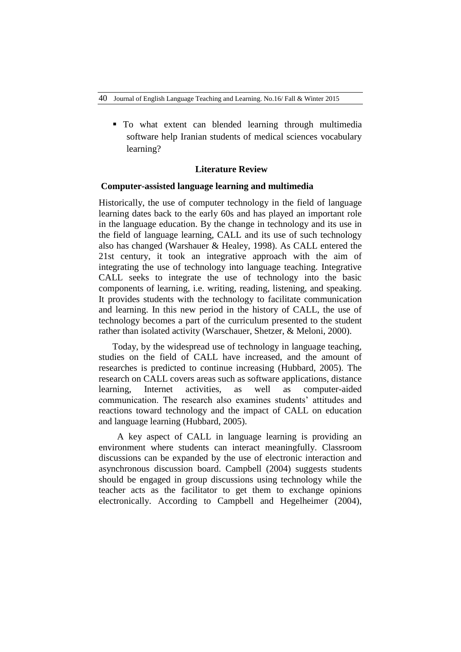To what extent can blended learning through multimedia software help Iranian students of medical sciences vocabulary learning?

## **Literature Review**

## **Computer-assisted language learning and multimedia**

Historically, the use of computer technology in the field of language learning dates back to the early 60s and has played an important role in the language education. By the change in technology and its use in the field of language learning, CALL and its use of such technology also has changed (Warshauer & Healey, 1998). As CALL entered the 21st century, it took an integrative approach with the aim of integrating the use of technology into language teaching. Integrative CALL seeks to integrate the use of technology into the basic components of learning, i.e. writing, reading, listening, and speaking. It provides students with the technology to facilitate communication and learning. In this new period in the history of CALL, the use of technology becomes a part of the curriculum presented to the student rather than isolated activity (Warschauer, Shetzer, & Meloni, 2000).

Today, by the widespread use of technology in language teaching, studies on the field of CALL have increased, and the amount of researches is predicted to continue increasing (Hubbard, 2005). The research on CALL covers areas such as software applications, distance learning, Internet activities, as well as computer-aided communication. The research also examines students' attitudes and reactions toward technology and the impact of CALL on education and language learning (Hubbard, 2005).

 A key aspect of CALL in language learning is providing an environment where students can interact meaningfully. Classroom discussions can be expanded by the use of electronic interaction and asynchronous discussion board. Campbell (2004) suggests students should be engaged in group discussions using technology while the teacher acts as the facilitator to get them to exchange opinions electronically. According to Campbell and Hegelheimer (2004),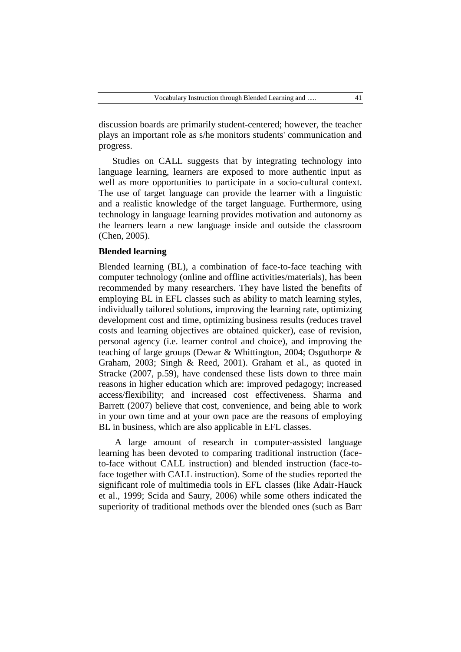discussion boards are primarily student-centered; however, the teacher plays an important role as s/he monitors students' communication and progress.

Studies on CALL suggests that by integrating technology into language learning, learners are exposed to more authentic input as well as more opportunities to participate in a socio-cultural context. The use of target language can provide the learner with a linguistic and a realistic knowledge of the target language. Furthermore, using technology in language learning provides motivation and autonomy as the learners learn a new language inside and outside the classroom (Chen, 2005).

# **Blended learning**

Blended learning (BL), a combination of face-to-face teaching with computer technology (online and offline activities/materials), has been recommended by many researchers. They have listed the benefits of employing BL in EFL classes such as ability to match learning styles, individually tailored solutions, improving the learning rate, optimizing development cost and time, optimizing business results (reduces travel costs and learning objectives are obtained quicker), ease of revision, personal agency (i.e. learner control and choice), and improving the teaching of large groups (Dewar & Whittington, 2004; Osguthorpe & Graham, 2003; Singh & Reed, 2001). Graham et al., as quoted in Stracke (2007, p.59), have condensed these lists down to three main reasons in higher education which are: improved pedagogy; increased access/flexibility; and increased cost effectiveness. Sharma and Barrett (2007) believe that cost, convenience, and being able to work in your own time and at your own pace are the reasons of employing BL in business, which are also applicable in EFL classes.

A large amount of research in computer-assisted language learning has been devoted to comparing traditional instruction (faceto-face without CALL instruction) and blended instruction (face-toface together with CALL instruction). Some of the studies reported the significant role of multimedia tools in EFL classes (like Adair-Hauck et al., 1999; Scida and Saury, 2006) while some others indicated the superiority of traditional methods over the blended ones (such as Barr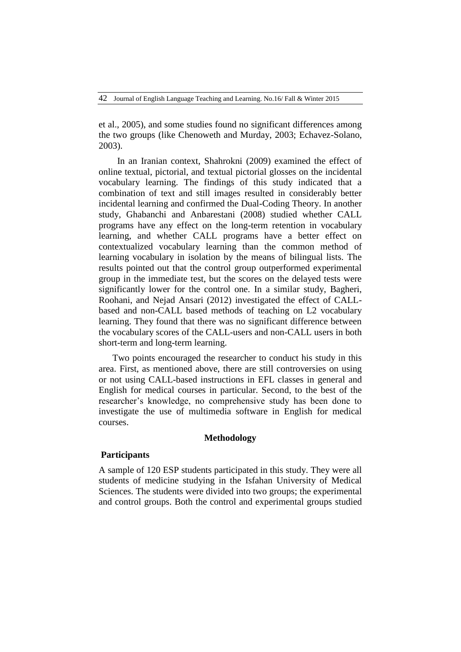42 Journal of English Language Teaching and Learning. No.16/ Fall & Winter 2015

et al., 2005), and some studies found no significant differences among the two groups (like Chenoweth and Murday, 2003; Echavez-Solano, 2003).

In an Iranian context, Shahrokni (2009) examined the effect of online textual, pictorial, and textual pictorial glosses on the incidental vocabulary learning. The findings of this study indicated that a combination of text and still images resulted in considerably better incidental learning and confirmed the Dual-Coding Theory. In another study, Ghabanchi and Anbarestani (2008) studied whether CALL programs have any effect on the long-term retention in vocabulary learning, and whether CALL programs have a better effect on contextualized vocabulary learning than the common method of learning vocabulary in isolation by the means of bilingual lists. The results pointed out that the control group outperformed experimental group in the immediate test, but the scores on the delayed tests were significantly lower for the control one. In a similar study, Bagheri, Roohani, and Nejad Ansari (2012) investigated the effect of CALLbased and non-CALL based methods of teaching on L2 vocabulary learning. They found that there was no significant difference between the vocabulary scores of the CALL-users and non-CALL users in both short-term and long-term learning.

Two points encouraged the researcher to conduct his study in this area. First, as mentioned above, there are still controversies on using or not using CALL-based instructions in EFL classes in general and English for medical courses in particular. Second, to the best of the researcher's knowledge, no comprehensive study has been done to investigate the use of multimedia software in English for medical courses.

# **Methodology**

# **Participants**

A sample of 120 ESP students participated in this study. They were all students of medicine studying in the Isfahan University of Medical Sciences. The students were divided into two groups; the experimental and control groups. Both the control and experimental groups studied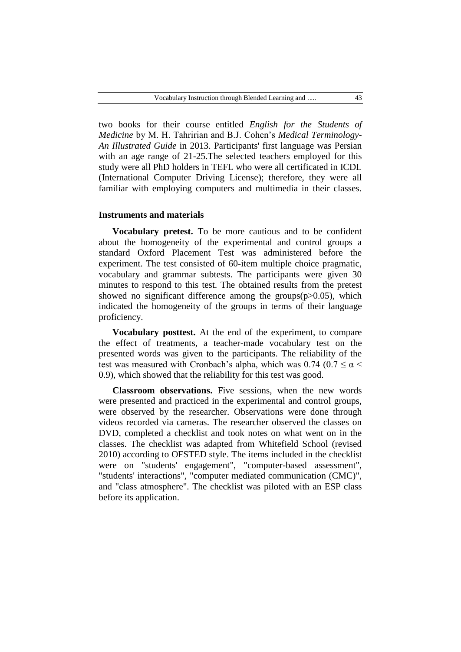two books for their course entitled *English for the Students of Medicine* by M. H. Tahririan and B.J. Cohen's *Medical Terminology-An Illustrated Guide* in 2013. Participants' first language was Persian with an age range of 21-25.The selected teachers employed for this study were all PhD holders in TEFL who were all certificated in ICDL (International Computer Driving License); therefore, they were all familiar with employing computers and multimedia in their classes.

#### **Instruments and materials**

**Vocabulary pretest.** To be more cautious and to be confident about the homogeneity of the experimental and control groups a standard Oxford Placement Test was administered before the experiment. The test consisted of 60-item multiple choice pragmatic, vocabulary and grammar subtests. The participants were given 30 minutes to respond to this test. The obtained results from the pretest showed no significant difference among the groups $(p>0.05)$ , which indicated the homogeneity of the groups in terms of their language proficiency.

**Vocabulary posttest.** At the end of the experiment, to compare the effect of treatments, a teacher-made vocabulary test on the presented words was given to the participants. The reliability of the test was measured with Cronbach's alpha, which was  $0.74$  ( $0.7 \le \alpha$ 0.9), which showed that the reliability for this test was good.

**Classroom observations.** Five sessions, when the new words were presented and practiced in the experimental and control groups, were observed by the researcher. Observations were done through videos recorded via cameras. The researcher observed the classes on DVD, completed a checklist and took notes on what went on in the classes. The checklist was adapted from Whitefield School (revised 2010) according to OFSTED style. The items included in the checklist were on "students' engagement", "computer-based assessment", "students' interactions", "computer mediated communication (CMC)", and "class atmosphere". The checklist was piloted with an ESP class before its application.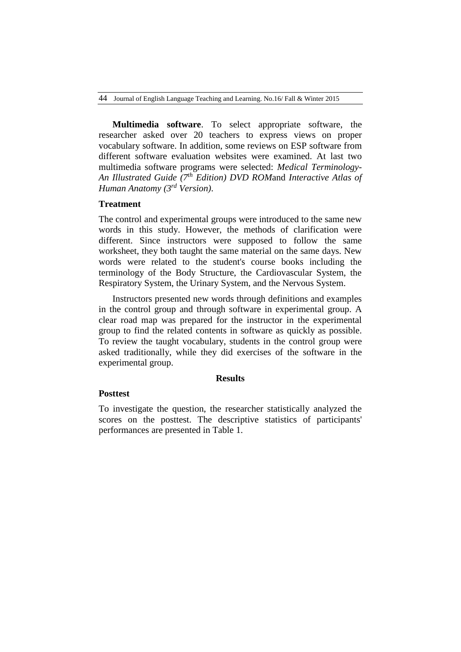**Multimedia software**. To select appropriate software, the researcher asked over 20 teachers to express views on proper vocabulary software. In addition, some reviews on ESP software from different software evaluation websites were examined. At last two multimedia software programs were selected: *Medical Terminology-An Illustrated Guide (7th Edition) DVD ROM*and *Interactive Atlas of Human Anatomy (3rd Version)*.

# **Treatment**

The control and experimental groups were introduced to the same new words in this study. However, the methods of clarification were different. Since instructors were supposed to follow the same worksheet, they both taught the same material on the same days. New words were related to the student's course books including the terminology of the Body Structure, the Cardiovascular System, the Respiratory System, the Urinary System, and the Nervous System.

Instructors presented new words through definitions and examples in the control group and through software in experimental group. A clear road map was prepared for the instructor in the experimental group to find the related contents in software as quickly as possible. To review the taught vocabulary, students in the control group were asked traditionally, while they did exercises of the software in the experimental group.

#### **Results**

## **Posttest**

To investigate the question, the researcher statistically analyzed the scores on the posttest. The descriptive statistics of participants' performances are presented in Table 1.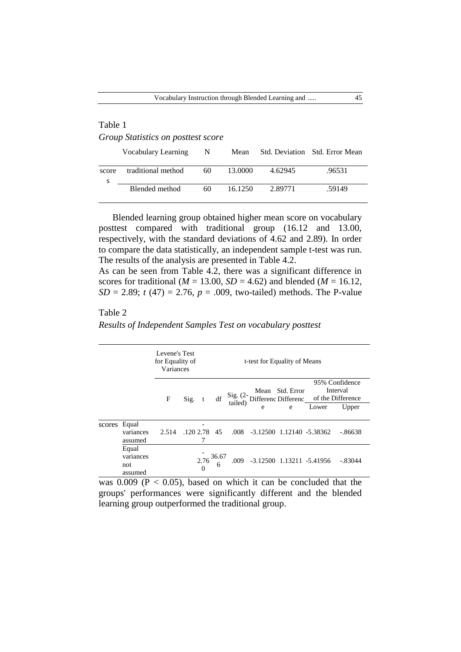# Table 1 *Group Statistics on posttest score*

|       | Vocabulary Learning | N  |         |         | Mean Std. Deviation Std. Error Mean |
|-------|---------------------|----|---------|---------|-------------------------------------|
| score | traditional method  | 60 | 13.0000 | 4.62945 | .96531                              |
|       | Blended method      | 60 | 16.1250 | 2.89771 | .59149                              |

Blended learning group obtained higher mean score on vocabulary posttest compared with traditional group (16.12 and 13.00, respectively, with the standard deviations of 4.62 and 2.89). In order to compare the data statistically, an independent sample t-test was run. The results of the analysis are presented in Table 4.2.

As can be seen from Table 4.2, there was a significant difference in scores for traditional ( $M = 13.00$ ,  $SD = 4.62$ ) and blended ( $M = 16.12$ , *SD* = 2.89; *t* (47) = 2.76, *p* = .009, two-tailed) methods. The P-value

## Table 2

*Results of Independent Samples Test on vocabulary posttest*

|        |                                      | Levene's Test<br>for Equality of<br>Variances | t-test for Equality of Means |  |                            |   |                                        |                                                                                                                                    |           |
|--------|--------------------------------------|-----------------------------------------------|------------------------------|--|----------------------------|---|----------------------------------------|------------------------------------------------------------------------------------------------------------------------------------|-----------|
|        |                                      | F                                             | $Sig.$ t                     |  |                            |   | Mean Std. Error                        | 95% Confidence<br>Interval<br>df $\frac{\text{Sig. (2-} \text{ Ntean} - \text{Sud. E101}_{\text{tail.}})}{\text{tail. Different}}$ |           |
|        |                                      |                                               |                              |  | e                          | e | Lower                                  | Upper                                                                                                                              |           |
| scores | Equal<br>variances<br>assumed        | 2.514                                         | .120 2.78 45                 |  |                            |   | $.008$ $-3.12500$ $1.12140$ $-5.38362$ |                                                                                                                                    | $-.86638$ |
|        | Equal<br>variances<br>not<br>assumed |                                               |                              |  | $2.76\frac{36.67}{6}$ .009 |   | -3.12500 1.13211 -5.41956 -.83044      |                                                                                                                                    |           |

was  $0.009$  ( $P < 0.05$ ), based on which it can be concluded that the groups' performances were significantly different and the blended learning group outperformed the traditional group.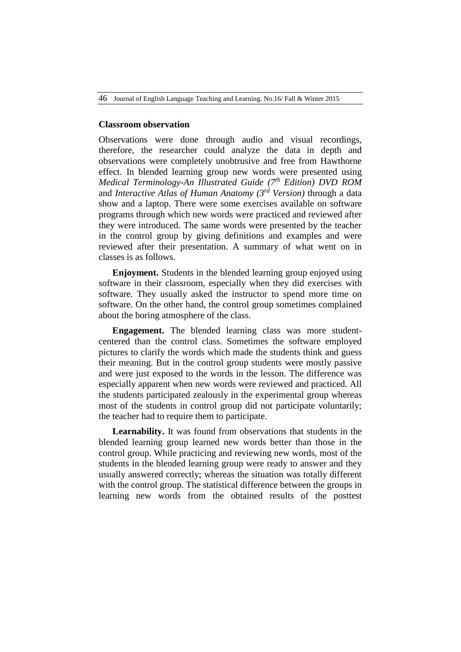46 Journal of English Language Teaching and Learning. No.16/ Fall & Winter 2015

## **Classroom observation**

Observations were done through audio and visual recordings, therefore, the researcher could analyze the data in depth and observations were completely unobtrusive and free from Hawthorne effect. In blended learning group new words were presented using *Medical Terminology-An Illustrated Guide (7th Edition) DVD ROM* and *Interactive Atlas of Human Anatomy (3rd Version)* through a data show and a laptop. There were some exercises available on software programs through which new words were practiced and reviewed after they were introduced. The same words were presented by the teacher in the control group by giving definitions and examples and were reviewed after their presentation. A summary of what went on in classes is as follows.

**Enjoyment.** Students in the blended learning group enjoyed using software in their classroom, especially when they did exercises with software. They usually asked the instructor to spend more time on software. On the other hand, the control group sometimes complained about the boring atmosphere of the class.

**Engagement.** The blended learning class was more studentcentered than the control class. Sometimes the software employed pictures to clarify the words which made the students think and guess their meaning. But in the control group students were mostly passive and were just exposed to the words in the lesson. The difference was especially apparent when new words were reviewed and practiced. All the students participated zealously in the experimental group whereas most of the students in control group did not participate voluntarily; the teacher had to require them to participate.

**Learnability.** It was found from observations that students in the blended learning group learned new words better than those in the control group. While practicing and reviewing new words, most of the students in the blended learning group were ready to answer and they usually answered correctly; whereas the situation was totally different with the control group. The statistical difference between the groups in learning new words from the obtained results of the posttest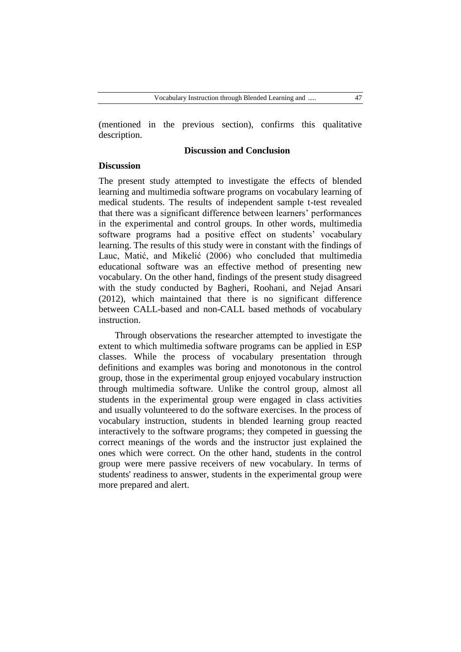(mentioned in the previous section), confirms this qualitative description.

# **Discussion and Conclusion**

# **Discussion**

The present study attempted to investigate the effects of blended learning and multimedia software programs on vocabulary learning of medical students. The results of independent sample t-test revealed that there was a significant difference between learners' performances in the experimental and control groups. In other words, multimedia software programs had a positive effect on students' vocabulary learning. The results of this study were in constant with the findings of Lauc, Matić, and Mikelić (2006) who concluded that multimedia educational software was an effective method of presenting new vocabulary. On the other hand, findings of the present study disagreed with the study conducted by Bagheri, Roohani, and Nejad Ansari (2012), which maintained that there is no significant difference between CALL-based and non-CALL based methods of vocabulary instruction.

Through observations the researcher attempted to investigate the extent to which multimedia software programs can be applied in ESP classes. While the process of vocabulary presentation through definitions and examples was boring and monotonous in the control group, those in the experimental group enjoyed vocabulary instruction through multimedia software. Unlike the control group, almost all students in the experimental group were engaged in class activities and usually volunteered to do the software exercises. In the process of vocabulary instruction, students in blended learning group reacted interactively to the software programs; they competed in guessing the correct meanings of the words and the instructor just explained the ones which were correct. On the other hand, students in the control group were mere passive receivers of new vocabulary. In terms of students' readiness to answer, students in the experimental group were more prepared and alert.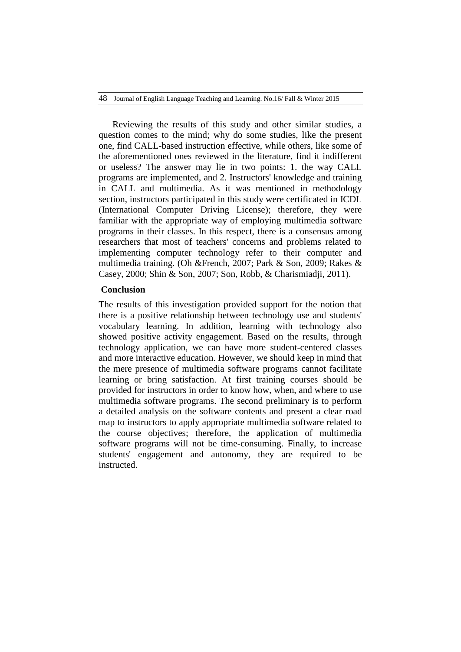Reviewing the results of this study and other similar studies, a question comes to the mind; why do some studies, like the present one, find CALL-based instruction effective, while others, like some of the aforementioned ones reviewed in the literature, find it indifferent or useless? The answer may lie in two points: 1. the way CALL programs are implemented, and 2. Instructors' knowledge and training in CALL and multimedia. As it was mentioned in methodology section, instructors participated in this study were certificated in ICDL (International Computer Driving License); therefore, they were familiar with the appropriate way of employing multimedia software programs in their classes. In this respect, there is a consensus among researchers that most of teachers' concerns and problems related to implementing computer technology refer to their computer and multimedia training. (Oh &French, 2007; Park & Son, 2009; Rakes & Casey, 2000; Shin & Son, 2007; Son, Robb, & Charismiadji, 2011).

# **Conclusion**

The results of this investigation provided support for the notion that there is a positive relationship between technology use and students' vocabulary learning. In addition, learning with technology also showed positive activity engagement. Based on the results, through technology application, we can have more student-centered classes and more interactive education. However, we should keep in mind that the mere presence of multimedia software programs cannot facilitate learning or bring satisfaction. At first training courses should be provided for instructors in order to know how, when, and where to use multimedia software programs. The second preliminary is to perform a detailed analysis on the software contents and present a clear road map to instructors to apply appropriate multimedia software related to the course objectives; therefore, the application of multimedia software programs will not be time-consuming. Finally, to increase students' engagement and autonomy, they are required to be instructed.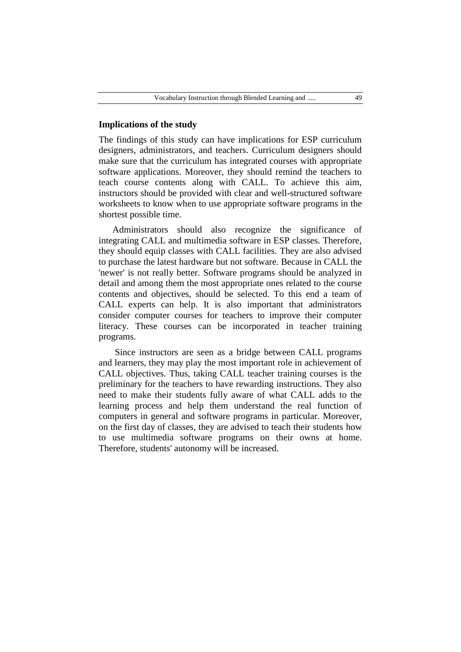# **Implications of the study**

The findings of this study can have implications for ESP curriculum designers, administrators, and teachers. Curriculum designers should make sure that the curriculum has integrated courses with appropriate software applications. Moreover, they should remind the teachers to teach course contents along with CALL. To achieve this aim, instructors should be provided with clear and well-structured software worksheets to know when to use appropriate software programs in the shortest possible time.

Administrators should also recognize the significance of integrating CALL and multimedia software in ESP classes. Therefore, they should equip classes with CALL facilities. They are also advised to purchase the latest hardware but not software. Because in CALL the 'newer' is not really better. Software programs should be analyzed in detail and among them the most appropriate ones related to the course contents and objectives, should be selected. To this end a team of CALL experts can help. It is also important that administrators consider computer courses for teachers to improve their computer literacy. These courses can be incorporated in teacher training programs.

Since instructors are seen as a bridge between CALL programs and learners, they may play the most important role in achievement of CALL objectives. Thus, taking CALL teacher training courses is the preliminary for the teachers to have rewarding instructions. They also need to make their students fully aware of what CALL adds to the learning process and help them understand the real function of computers in general and software programs in particular. Moreover, on the first day of classes, they are advised to teach their students how to use multimedia software programs on their owns at home. Therefore, students' autonomy will be increased.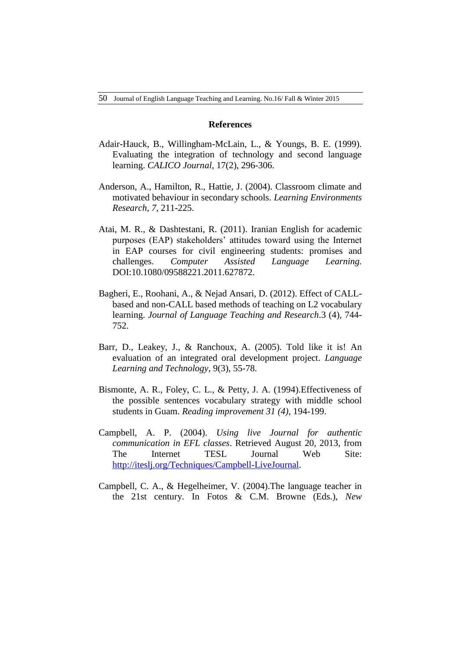## **References**

- Adair-Hauck, B., Willingham-McLain, L., & Youngs, B. E. (1999). Evaluating the integration of technology and second language learning. *CALICO Journal,* 17(2), 296-306.
- Anderson, A., Hamilton, R., Hattie, J. (2004). Classroom climate and motivated behaviour in secondary schools. *Learning Environments Research, 7*, 211-225.
- Atai, M. R., & Dashtestani, R. (2011). Iranian English for academic purposes (EAP) stakeholders' attitudes toward using the Internet in EAP courses for civil engineering students: promises and challenges. *Computer Assisted Language Learning.*  DOI:10.1080/09588221.2011.627872.
- Bagheri, E., Roohani, A., & Nejad Ansari, D. (2012). Effect of CALLbased and non-CALL based methods of teaching on L2 vocabulary learning. *Journal of Language Teaching and Research*.3 (4), 744- 752.
- Barr, D., Leakey, J., & Ranchoux, A. (2005). Told like it is! An evaluation of an integrated oral development project. *Language Learning and Technology,* 9(3), 55-78.
- Bismonte, A. R., Foley, C. L., & Petty, J. A. (1994).Effectiveness of the possible sentences vocabulary strategy with middle school students in Guam. *Reading improvement 31 (4)*, 194-199.
- Campbell, A. P. (2004). *Using live Journal for authentic communication in EFL classes*. Retrieved August 20, 2013, from The Internet TESL Journal Web Site: [http://iteslj.org/Techniques/Campbell-LiveJournal.](http://iteslj.org/Techniques/Campbell-LiveJournal)
- Campbell, C. A., & Hegelheimer, V. (2004).The language teacher in the 21st century. In Fotos & C.M. Browne (Eds.), *New*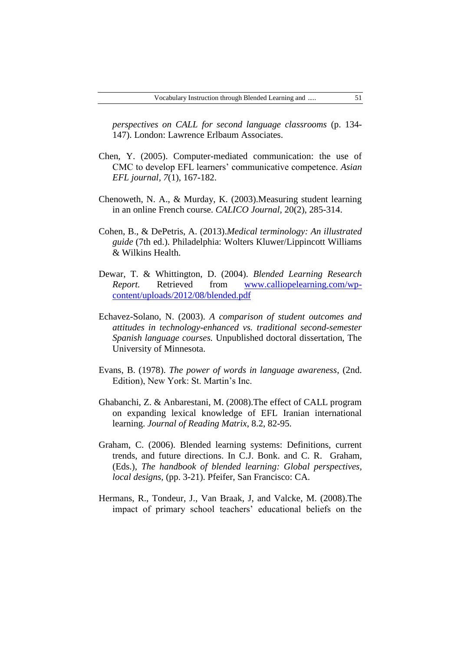*perspectives on CALL for second language classrooms* (p. 134- 147). London: Lawrence Erlbaum Associates.

- Chen, Y. (2005). Computer-mediated communication: the use of CMC to develop EFL learners' communicative competence. *Asian EFL journal, 7*(1), 167-182.
- Chenoweth, N. A., & Murday, K. (2003).Measuring student learning in an online French course. *CALICO Journal,* 20(2), 285-314.
- Cohen, B., & DePetris, A. (2013).*Medical terminology: An illustrated guide* (7th ed.). Philadelphia: Wolters Kluwer/Lippincott Williams & Wilkins Health.
- Dewar, T. & Whittington, D. (2004). *Blended Learning Research Report.* Retrieved from [www.calliopelearning.com/wp](http://www.calliopelearning.com/wp-content/uploads/2012/08/blended.pdf)[content/uploads/2012/08/blended.pdf](http://www.calliopelearning.com/wp-content/uploads/2012/08/blended.pdf)
- Echavez-Solano, N. (2003). *A comparison of student outcomes and attitudes in technology-enhanced vs. traditional second-semester Spanish language courses.* Unpublished doctoral dissertation, The University of Minnesota.
- Evans, B. (1978). *The power of words in language awareness*, (2nd. Edition), New York: St. Martin's Inc.
- Ghabanchi, Z. & Anbarestani, M. (2008).The effect of CALL program on expanding lexical knowledge of EFL Iranian international learning. *Journal of Reading Matrix*, 8.2, 82-95.
- Graham, C. (2006). Blended learning systems: Definitions, current trends, and future directions. In C.J. Bonk. and C. R. Graham, (Eds.), *The handbook of blended learning: Global perspectives, local designs,* (pp. 3-21). Pfeifer, San Francisco: CA.
- Hermans, R., Tondeur, J., Van Braak, J, and Valcke, M. (2008).The impact of primary school teachers' educational beliefs on the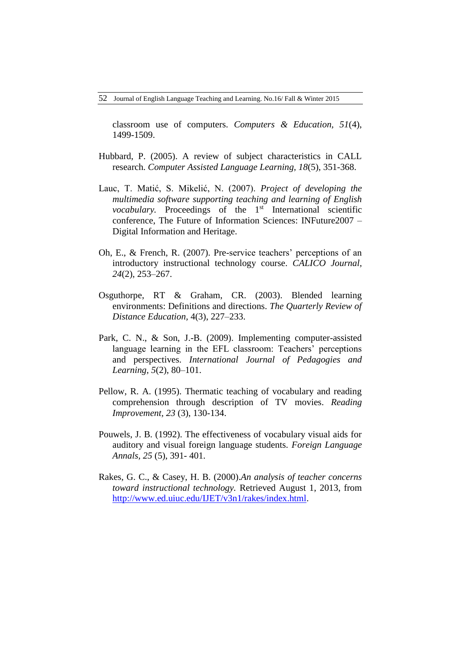classroom use of computers. *Computers & Education, 51*(4), 1499-1509.

- Hubbard, P. (2005). A review of subject characteristics in CALL research. *Computer Assisted Language Learning, 18*(5), 351-368.
- Lauc, T. Matić, S. Mikelić, N. (2007). *Project of developing the multimedia software supporting teaching and learning of English vocabulary.* Proceedings of the 1<sup>st</sup> International scientific conference, The Future of Information Sciences: INFuture2007 – Digital Information and Heritage.
- Oh, E., & French, R. (2007). Pre-service teachers' perceptions of an introductory instructional technology course. *CALICO Journal, 24*(2), 253–267.
- Osguthorpe, RT & Graham, CR. (2003). Blended learning environments: Definitions and directions. *The Quarterly Review of Distance Education,* 4(3), 227–233.
- Park, C. N., & Son, J.-B. (2009). Implementing computer-assisted language learning in the EFL classroom: Teachers' perceptions and perspectives. *International Journal of Pedagogies and Learning, 5*(2), 80–101.
- Pellow, R. A. (1995). Thermatic teaching of vocabulary and reading comprehension through description of TV movies. *Reading Improvement, 23* (3), 130-134.
- Pouwels, J. B. (1992). The effectiveness of vocabulary visual aids for auditory and visual foreign language students. *Foreign Language Annals, 25* (5), 391- 401.
- Rakes, G. C., & Casey, H. B. (2000).*An analysis of teacher concerns toward instructional technology.* Retrieved August 1, 2013, from [http://www.ed.uiuc.edu/IJET/v3n1/rakes/index.html.](http://www.ed.uiuc.edu/IJET/v3n1/rakes/index.html)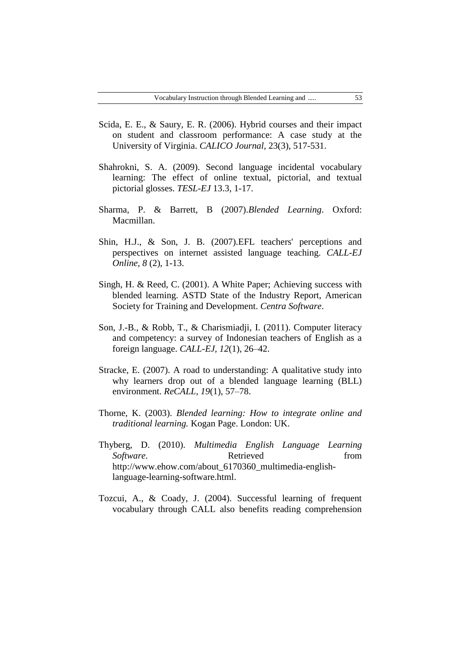- Scida, E. E., & Saury, E. R. (2006). Hybrid courses and their impact on student and classroom performance: A case study at the University of Virginia. *CALICO Journal,* 23(3), 517-531.
- Shahrokni, S. A. (2009). Second language incidental vocabulary learning: The effect of online textual, pictorial, and textual pictorial glosses. *TESL-EJ* 13.3, 1-17.
- Sharma, P. & Barrett, B (2007).*Blended Learning*. Oxford: Macmillan.
- Shin, H.J., & Son, J. B. (2007).EFL teachers' perceptions and perspectives on internet assisted language teaching. *CALL-EJ Online, 8* (2), 1-13.
- Singh, H. & Reed, C. (2001). A White Paper; Achieving success with blended learning. ASTD State of the Industry Report, American Society for Training and Development. *Centra Software*.
- Son, J.-B., & Robb, T., & Charismiadji, I. (2011). Computer literacy and competency: a survey of Indonesian teachers of English as a foreign language. *CALL-EJ, 12*(1), 26–42.
- Stracke, E. (2007). A road to understanding: A qualitative study into why learners drop out of a blended language learning (BLL) environment. *ReCALL, 19*(1), 57–78.
- Thorne, K. (2003). *Blended learning: How to integrate online and traditional learning.* Kogan Page. London: UK.
- Thyberg, D. (2010). *Multimedia English Language Learning Software*. **Retrieved** from [http://www.ehow.com/about\\_6170360\\_multimedia-english](http://www.ehow.com/about_6170360_multimedia-english-language-learning-software.html)[language-learning-software.html.](http://www.ehow.com/about_6170360_multimedia-english-language-learning-software.html)
- Tozcui, A., & Coady, J. (2004). Successful learning of frequent vocabulary through CALL also benefits reading comprehension